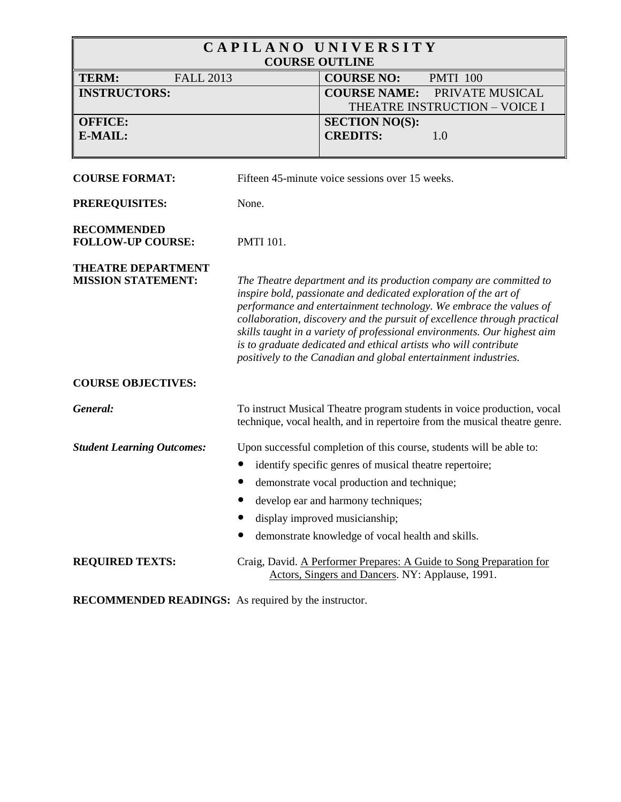| CAPILANO UNIVERSITY<br><b>COURSE OUTLINE</b>           |                  |                                                                                                                                                                                                                                                                                                                                                                                                                                                                                                             |
|--------------------------------------------------------|------------------|-------------------------------------------------------------------------------------------------------------------------------------------------------------------------------------------------------------------------------------------------------------------------------------------------------------------------------------------------------------------------------------------------------------------------------------------------------------------------------------------------------------|
| <b>TERM:</b><br><b>FALL 2013</b>                       |                  | <b>COURSE NO:</b><br><b>PMTI 100</b>                                                                                                                                                                                                                                                                                                                                                                                                                                                                        |
| <b>INSTRUCTORS:</b>                                    |                  | <b>COURSE NAME:</b><br>PRIVATE MUSICAL<br>THEATRE INSTRUCTION - VOICE I                                                                                                                                                                                                                                                                                                                                                                                                                                     |
| <b>OFFICE:</b>                                         |                  | <b>SECTION NO(S):</b>                                                                                                                                                                                                                                                                                                                                                                                                                                                                                       |
| E-MAIL:                                                |                  | <b>CREDITS:</b><br>1.0                                                                                                                                                                                                                                                                                                                                                                                                                                                                                      |
| <b>COURSE FORMAT:</b>                                  |                  | Fifteen 45-minute voice sessions over 15 weeks.                                                                                                                                                                                                                                                                                                                                                                                                                                                             |
| PREREQUISITES:                                         | None.            |                                                                                                                                                                                                                                                                                                                                                                                                                                                                                                             |
| <b>RECOMMENDED</b><br><b>FOLLOW-UP COURSE:</b>         | <b>PMTI 101.</b> |                                                                                                                                                                                                                                                                                                                                                                                                                                                                                                             |
| <b>THEATRE DEPARTMENT</b><br><b>MISSION STATEMENT:</b> |                  | The Theatre department and its production company are committed to<br>inspire bold, passionate and dedicated exploration of the art of<br>performance and entertainment technology. We embrace the values of<br>collaboration, discovery and the pursuit of excellence through practical<br>skills taught in a variety of professional environments. Our highest aim<br>is to graduate dedicated and ethical artists who will contribute<br>positively to the Canadian and global entertainment industries. |
| <b>COURSE OBJECTIVES:</b>                              |                  |                                                                                                                                                                                                                                                                                                                                                                                                                                                                                                             |
| General:                                               |                  | To instruct Musical Theatre program students in voice production, vocal<br>technique, vocal health, and in repertoire from the musical theatre genre.                                                                                                                                                                                                                                                                                                                                                       |
| <b>Student Learning Outcomes:</b>                      |                  | Upon successful completion of this course, students will be able to:                                                                                                                                                                                                                                                                                                                                                                                                                                        |
|                                                        |                  | identify specific genres of musical theatre repertoire;                                                                                                                                                                                                                                                                                                                                                                                                                                                     |
|                                                        |                  | demonstrate vocal production and technique;                                                                                                                                                                                                                                                                                                                                                                                                                                                                 |
|                                                        |                  | develop ear and harmony techniques;                                                                                                                                                                                                                                                                                                                                                                                                                                                                         |
|                                                        |                  | display improved musicianship;                                                                                                                                                                                                                                                                                                                                                                                                                                                                              |
|                                                        |                  | demonstrate knowledge of vocal health and skills.                                                                                                                                                                                                                                                                                                                                                                                                                                                           |
| <b>REQUIRED TEXTS:</b>                                 |                  | Craig, David. A Performer Prepares: A Guide to Song Preparation for<br>Actors, Singers and Dancers. NY: Applause, 1991.                                                                                                                                                                                                                                                                                                                                                                                     |

**RECOMMENDED READINGS:** As required by the instructor.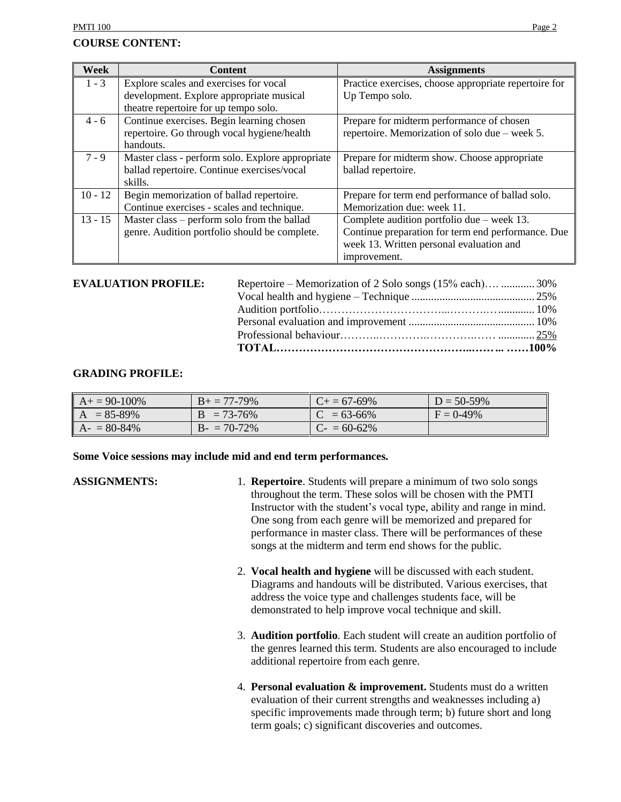#### **COURSE CONTENT:**

| Week      | <b>Content</b>                                   | <b>Assignments</b>                                    |
|-----------|--------------------------------------------------|-------------------------------------------------------|
| $1 - 3$   | Explore scales and exercises for vocal           | Practice exercises, choose appropriate repertoire for |
|           | development. Explore appropriate musical         | Up Tempo solo.                                        |
|           | theatre repertoire for up tempo solo.            |                                                       |
| $4 - 6$   | Continue exercises. Begin learning chosen        | Prepare for midterm performance of chosen             |
|           | repertoire. Go through vocal hygiene/health      | repertoire. Memorization of solo due – week 5.        |
|           | handouts.                                        |                                                       |
| $7 - 9$   | Master class - perform solo. Explore appropriate | Prepare for midterm show. Choose appropriate          |
|           | ballad repertoire. Continue exercises/vocal      | ballad repertoire.                                    |
|           | skills.                                          |                                                       |
| $10 - 12$ | Begin memorization of ballad repertoire.         | Prepare for term end performance of ballad solo.      |
|           | Continue exercises - scales and technique.       | Memorization due: week 11.                            |
| $13 - 15$ | Master class – perform solo from the ballad      | Complete audition portfolio due – week 13.            |
|           | genre. Audition portfolio should be complete.    | Continue preparation for term end performance. Due    |
|           |                                                  | week 13. Written personal evaluation and              |
|           |                                                  | improvement.                                          |

#### **EVALUATION PROFILE:**

| <b>EVALUATION PROFILE:</b> | Repertoire – Memorization of 2 Solo songs (15% each)  30% |  |
|----------------------------|-----------------------------------------------------------|--|
|                            |                                                           |  |
|                            |                                                           |  |
|                            |                                                           |  |
|                            |                                                           |  |
|                            |                                                           |  |
|                            |                                                           |  |

#### **GRADING PROFILE:**

| $A_0 + 90 - 100\%$ | $B_+ = 77-79\%$ | $C_{\pm} = 67 - 69\%$ | $D = 50-59\%$ |
|--------------------|-----------------|-----------------------|---------------|
| $A = 85-89\%$      | $B = 73 - 76%$  | $C = 63 - 66\%$       | $F = 0-49\%$  |
| $A - 80-84\%$      | $B - 70-72%$    | $C = 60-62\%$         |               |

#### **Some Voice sessions may include mid and end term performances.**

- **ASSIGNMENTS:** 1. **Repertoire**. Students will prepare a minimum of two solo songs throughout the term. These solos will be chosen with the PMTI Instructor with the student's vocal type, ability and range in mind. One song from each genre will be memorized and prepared for performance in master class. There will be performances of these songs at the midterm and term end shows for the public.
	- 2. **Vocal health and hygiene** will be discussed with each student. Diagrams and handouts will be distributed. Various exercises, that address the voice type and challenges students face, will be demonstrated to help improve vocal technique and skill.
	- 3. **Audition portfolio**. Each student will create an audition portfolio of the genres learned this term. Students are also encouraged to include additional repertoire from each genre.
	- 4. **Personal evaluation & improvement.** Students must do a written evaluation of their current strengths and weaknesses including a) specific improvements made through term; b) future short and long term goals; c) significant discoveries and outcomes.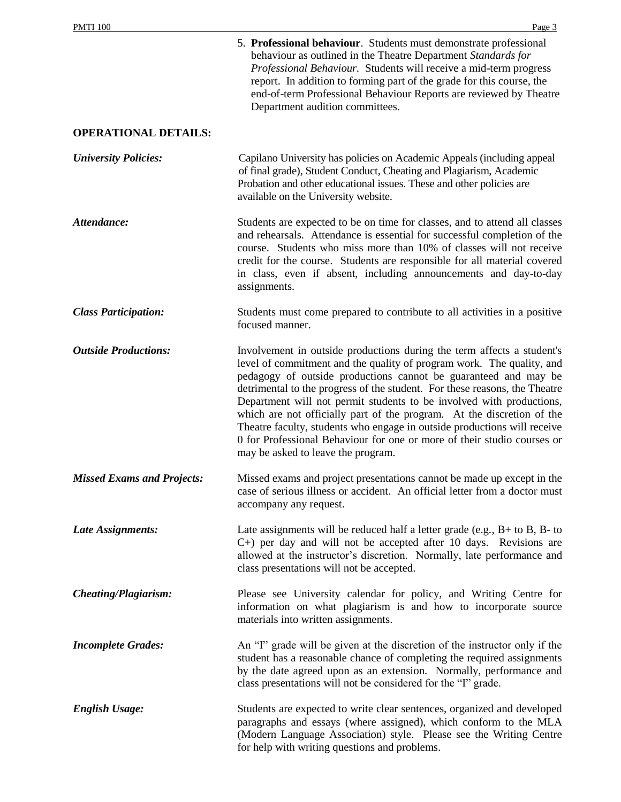|                                   | 5. Professional behaviour. Students must demonstrate professional<br>behaviour as outlined in the Theatre Department Standards for<br>Professional Behaviour. Students will receive a mid-term progress<br>report. In addition to forming part of the grade for this course, the<br>end-of-term Professional Behaviour Reports are reviewed by Theatre<br>Department audition committees.                                                                                                                                                                                                                                                       |
|-----------------------------------|-------------------------------------------------------------------------------------------------------------------------------------------------------------------------------------------------------------------------------------------------------------------------------------------------------------------------------------------------------------------------------------------------------------------------------------------------------------------------------------------------------------------------------------------------------------------------------------------------------------------------------------------------|
| <b>OPERATIONAL DETAILS:</b>       |                                                                                                                                                                                                                                                                                                                                                                                                                                                                                                                                                                                                                                                 |
| <b>University Policies:</b>       | Capilano University has policies on Academic Appeals (including appeal<br>of final grade), Student Conduct, Cheating and Plagiarism, Academic<br>Probation and other educational issues. These and other policies are<br>available on the University website.                                                                                                                                                                                                                                                                                                                                                                                   |
| Attendance:                       | Students are expected to be on time for classes, and to attend all classes<br>and rehearsals. Attendance is essential for successful completion of the<br>course. Students who miss more than 10% of classes will not receive<br>credit for the course. Students are responsible for all material covered<br>in class, even if absent, including announcements and day-to-day<br>assignments.                                                                                                                                                                                                                                                   |
| <b>Class Participation:</b>       | Students must come prepared to contribute to all activities in a positive<br>focused manner.                                                                                                                                                                                                                                                                                                                                                                                                                                                                                                                                                    |
| <b>Outside Productions:</b>       | Involvement in outside productions during the term affects a student's<br>level of commitment and the quality of program work. The quality, and<br>pedagogy of outside productions cannot be guaranteed and may be<br>detrimental to the progress of the student. For these reasons, the Theatre<br>Department will not permit students to be involved with productions,<br>which are not officially part of the program. At the discretion of the<br>Theatre faculty, students who engage in outside productions will receive<br>0 for Professional Behaviour for one or more of their studio courses or<br>may be asked to leave the program. |
| <b>Missed Exams and Projects:</b> | Missed exams and project presentations cannot be made up except in the<br>case of serious illness or accident. An official letter from a doctor must<br>accompany any request.                                                                                                                                                                                                                                                                                                                                                                                                                                                                  |
| Late Assignments:                 | Late assignments will be reduced half a letter grade (e.g., $B+$ to $B$ , $B-$ to<br>$C+$ ) per day and will not be accepted after 10 days. Revisions are<br>allowed at the instructor's discretion. Normally, late performance and<br>class presentations will not be accepted.                                                                                                                                                                                                                                                                                                                                                                |
| <b>Cheating/Plagiarism:</b>       | Please see University calendar for policy, and Writing Centre for<br>information on what plagiarism is and how to incorporate source<br>materials into written assignments.                                                                                                                                                                                                                                                                                                                                                                                                                                                                     |
| <b>Incomplete Grades:</b>         | An "I" grade will be given at the discretion of the instructor only if the<br>student has a reasonable chance of completing the required assignments<br>by the date agreed upon as an extension. Normally, performance and<br>class presentations will not be considered for the "I" grade.                                                                                                                                                                                                                                                                                                                                                     |
| <b>English Usage:</b>             | Students are expected to write clear sentences, organized and developed<br>paragraphs and essays (where assigned), which conform to the MLA<br>(Modern Language Association) style. Please see the Writing Centre<br>for help with writing questions and problems.                                                                                                                                                                                                                                                                                                                                                                              |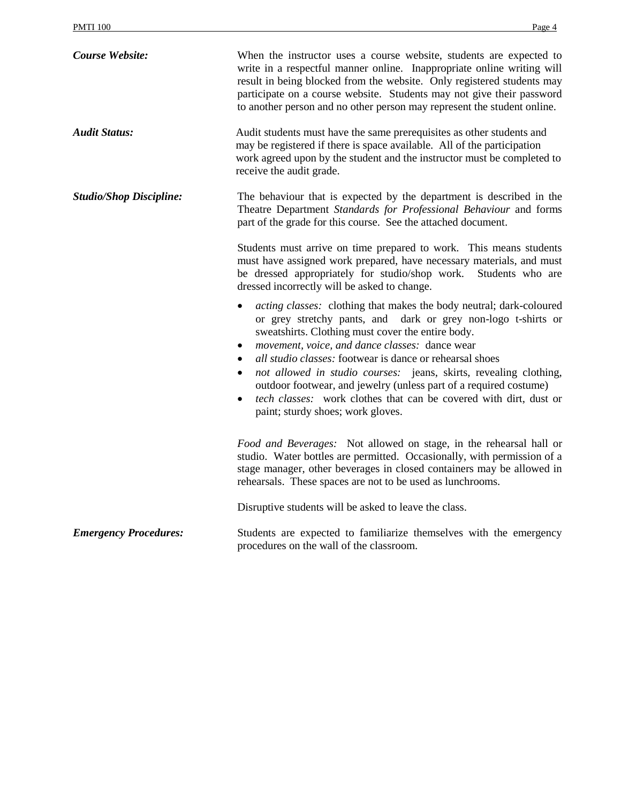| <b>Course Website:</b>         | When the instructor uses a course website, students are expected to<br>write in a respectful manner online. Inappropriate online writing will<br>result in being blocked from the website. Only registered students may<br>participate on a course website. Students may not give their password<br>to another person and no other person may represent the student online.                                                                                                                                                                                                                               |
|--------------------------------|-----------------------------------------------------------------------------------------------------------------------------------------------------------------------------------------------------------------------------------------------------------------------------------------------------------------------------------------------------------------------------------------------------------------------------------------------------------------------------------------------------------------------------------------------------------------------------------------------------------|
| <b>Audit Status:</b>           | Audit students must have the same prerequisites as other students and<br>may be registered if there is space available. All of the participation<br>work agreed upon by the student and the instructor must be completed to<br>receive the audit grade.                                                                                                                                                                                                                                                                                                                                                   |
| <b>Studio/Shop Discipline:</b> | The behaviour that is expected by the department is described in the<br>Theatre Department Standards for Professional Behaviour and forms<br>part of the grade for this course. See the attached document.                                                                                                                                                                                                                                                                                                                                                                                                |
|                                | Students must arrive on time prepared to work. This means students<br>must have assigned work prepared, have necessary materials, and must<br>be dressed appropriately for studio/shop work.<br>Students who are<br>dressed incorrectly will be asked to change.                                                                                                                                                                                                                                                                                                                                          |
|                                | <i>acting classes:</i> clothing that makes the body neutral; dark-coloured<br>$\bullet$<br>or grey stretchy pants, and dark or grey non-logo t-shirts or<br>sweatshirts. Clothing must cover the entire body.<br>movement, voice, and dance classes: dance wear<br>$\bullet$<br>all studio classes: footwear is dance or rehearsal shoes<br>not allowed in studio courses: jeans, skirts, revealing clothing,<br>$\bullet$<br>outdoor footwear, and jewelry (unless part of a required costume)<br>tech classes: work clothes that can be covered with dirt, dust or<br>paint; sturdy shoes; work gloves. |
|                                | Food and Beverages: Not allowed on stage, in the rehearsal hall or<br>studio. Water bottles are permitted. Occasionally, with permission of a<br>stage manager, other beverages in closed containers may be allowed in<br>rehearsals. These spaces are not to be used as lunchrooms.                                                                                                                                                                                                                                                                                                                      |
|                                | Disruptive students will be asked to leave the class.                                                                                                                                                                                                                                                                                                                                                                                                                                                                                                                                                     |
| <b>Emergency Procedures:</b>   | Students are expected to familiarize themselves with the emergency<br>procedures on the wall of the classroom.                                                                                                                                                                                                                                                                                                                                                                                                                                                                                            |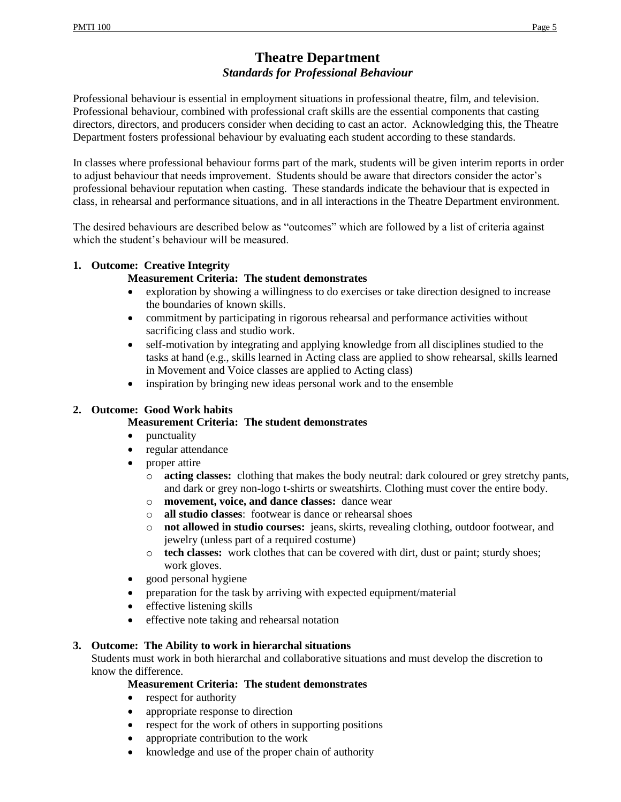# **Theatre Department** *Standards for Professional Behaviour*

Professional behaviour is essential in employment situations in professional theatre, film, and television. Professional behaviour, combined with professional craft skills are the essential components that casting directors, directors, and producers consider when deciding to cast an actor. Acknowledging this, the Theatre Department fosters professional behaviour by evaluating each student according to these standards.

In classes where professional behaviour forms part of the mark, students will be given interim reports in order to adjust behaviour that needs improvement. Students should be aware that directors consider the actor's professional behaviour reputation when casting. These standards indicate the behaviour that is expected in class, in rehearsal and performance situations, and in all interactions in the Theatre Department environment.

The desired behaviours are described below as "outcomes" which are followed by a list of criteria against which the student's behaviour will be measured.

#### **1. Outcome: Creative Integrity**

#### **Measurement Criteria: The student demonstrates**

- exploration by showing a willingness to do exercises or take direction designed to increase the boundaries of known skills.
- commitment by participating in rigorous rehearsal and performance activities without sacrificing class and studio work.
- self-motivation by integrating and applying knowledge from all disciplines studied to the tasks at hand (e.g., skills learned in Acting class are applied to show rehearsal, skills learned in Movement and Voice classes are applied to Acting class)
- inspiration by bringing new ideas personal work and to the ensemble

### **2. Outcome: Good Work habits**

#### **Measurement Criteria: The student demonstrates**

- punctuality
- regular attendance
- proper attire
	- o **acting classes:** clothing that makes the body neutral: dark coloured or grey stretchy pants, and dark or grey non-logo t-shirts or sweatshirts. Clothing must cover the entire body.
	- o **movement, voice, and dance classes:** dance wear
	- o **all studio classes**: footwear is dance or rehearsal shoes
	- o **not allowed in studio courses:** jeans, skirts, revealing clothing, outdoor footwear, and jewelry (unless part of a required costume)
	- o **tech classes:** work clothes that can be covered with dirt, dust or paint; sturdy shoes; work gloves.
- good personal hygiene
- preparation for the task by arriving with expected equipment/material
- effective listening skills
- effective note taking and rehearsal notation

#### **3. Outcome: The Ability to work in hierarchal situations**

Students must work in both hierarchal and collaborative situations and must develop the discretion to know the difference.

#### **Measurement Criteria: The student demonstrates**

- respect for authority
- appropriate response to direction
- respect for the work of others in supporting positions
- appropriate contribution to the work
- knowledge and use of the proper chain of authority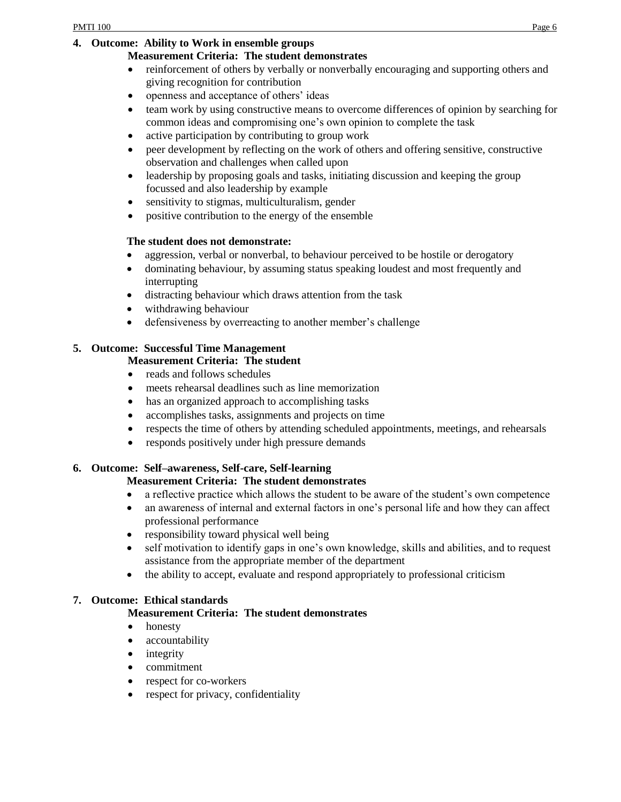### **4. Outcome: Ability to Work in ensemble groups**

### **Measurement Criteria: The student demonstrates**

- reinforcement of others by verbally or nonverbally encouraging and supporting others and giving recognition for contribution
- openness and acceptance of others' ideas
- team work by using constructive means to overcome differences of opinion by searching for common ideas and compromising one's own opinion to complete the task
- active participation by contributing to group work
- peer development by reflecting on the work of others and offering sensitive, constructive observation and challenges when called upon
- leadership by proposing goals and tasks, initiating discussion and keeping the group focussed and also leadership by example
- sensitivity to stigmas, multiculturalism, gender
- positive contribution to the energy of the ensemble

### **The student does not demonstrate:**

- aggression, verbal or nonverbal, to behaviour perceived to be hostile or derogatory
- dominating behaviour, by assuming status speaking loudest and most frequently and interrupting
- distracting behaviour which draws attention from the task
- withdrawing behaviour
- defensiveness by overreacting to another member's challenge

# **5. Outcome: Successful Time Management**

### **Measurement Criteria: The student**

- reads and follows schedules
- meets rehearsal deadlines such as line memorization
- has an organized approach to accomplishing tasks
- accomplishes tasks, assignments and projects on time
- respects the time of others by attending scheduled appointments, meetings, and rehearsals
- responds positively under high pressure demands

# **6. Outcome: Self–awareness, Self-care, Self-learning**

### **Measurement Criteria: The student demonstrates**

- a reflective practice which allows the student to be aware of the student's own competence
- an awareness of internal and external factors in one's personal life and how they can affect professional performance
- responsibility toward physical well being
- self motivation to identify gaps in one's own knowledge, skills and abilities, and to request assistance from the appropriate member of the department
- the ability to accept, evaluate and respond appropriately to professional criticism

### **7. Outcome: Ethical standards**

# **Measurement Criteria: The student demonstrates**

- honesty
- accountability
- integrity
- commitment
- respect for co-workers
- respect for privacy, confidentiality